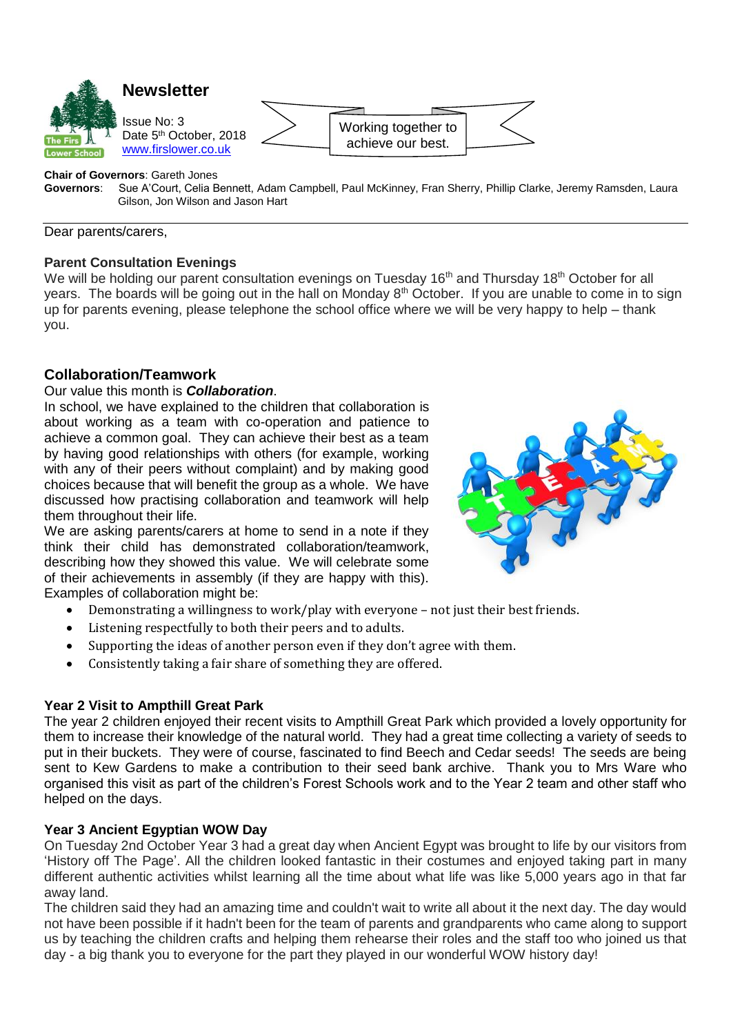

**Chair of Governors**: Gareth Jones

**Governors**: Sue A'Court, Celia Bennett, Adam Campbell, Paul McKinney, Fran Sherry, Phillip Clarke, Jeremy Ramsden, Laura Gilson, Jon Wilson and Jason Hart

Dear parents/carers,

#### **Parent Consultation Evenings**

We will be holding our parent consultation evenings on Tuesday 16<sup>th</sup> and Thursday 18<sup>th</sup> October for all years. The boards will be going out in the hall on Monday 8<sup>th</sup> October. If you are unable to come in to sign up for parents evening, please telephone the school office where we will be very happy to help – thank you.

# **Collaboration/Teamwork**

### Our value this month is *Collaboration*.

In school, we have explained to the children that collaboration is about working as a team with co-operation and patience to achieve a common goal. They can achieve their best as a team by having good relationships with others (for example, working with any of their peers without complaint) and by making good choices because that will benefit the group as a whole. We have discussed how practising collaboration and teamwork will help them throughout their life.

We are asking parents/carers at home to send in a note if they think their child has demonstrated collaboration/teamwork, describing how they showed this value. We will celebrate some of their achievements in assembly (if they are happy with this). Examples of collaboration might be:



- Demonstrating a willingness to work/play with everyone not just their best friends.
- Listening respectfully to both their peers and to adults.
- Supporting the ideas of another person even if they don't agree with them.
- Consistently taking a fair share of something they are offered.

## **Year 2 Visit to Ampthill Great Park**

The year 2 children enjoyed their recent visits to Ampthill Great Park which provided a lovely opportunity for them to increase their knowledge of the natural world. They had a great time collecting a variety of seeds to put in their buckets. They were of course, fascinated to find Beech and Cedar seeds! The seeds are being sent to Kew Gardens to make a contribution to their seed bank archive. Thank you to Mrs Ware who organised this visit as part of the children's Forest Schools work and to the Year 2 team and other staff who helped on the days.

## **Year 3 Ancient Egyptian WOW Day**

On Tuesday 2nd October Year 3 had a great day when Ancient Egypt was brought to life by our visitors from 'History off The Page'. All the children looked fantastic in their costumes and enjoyed taking part in many different authentic activities whilst learning all the time about what life was like 5,000 years ago in that far away land.

The children said they had an amazing time and couldn't wait to write all about it the next day. The day would not have been possible if it hadn't been for the team of parents and grandparents who came along to support us by teaching the children crafts and helping them rehearse their roles and the staff too who joined us that day - a big thank you to everyone for the part they played in our wonderful WOW history day!